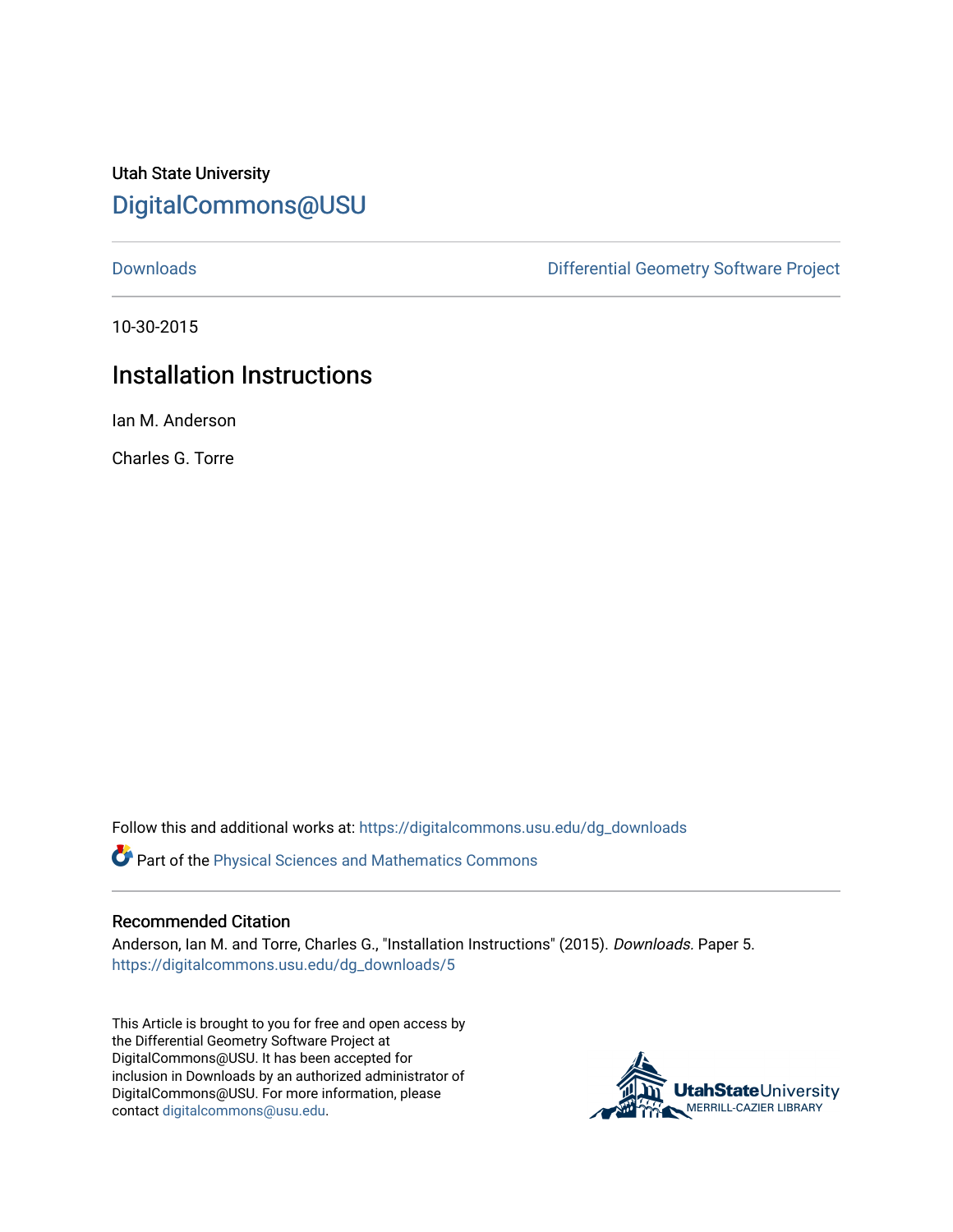Utah State University [DigitalCommons@USU](https://digitalcommons.usu.edu/)

[Downloads](https://digitalcommons.usu.edu/dg_downloads) [Differential Geometry Software Project](https://digitalcommons.usu.edu/dg) 

10-30-2015

## Installation Instructions

Ian M. Anderson

Charles G. Torre

Follow this and additional works at: [https://digitalcommons.usu.edu/dg\\_downloads](https://digitalcommons.usu.edu/dg_downloads?utm_source=digitalcommons.usu.edu%2Fdg_downloads%2F5&utm_medium=PDF&utm_campaign=PDFCoverPages) 

**P** Part of the Physical Sciences and Mathematics Commons

## Recommended Citation

Anderson, Ian M. and Torre, Charles G., "Installation Instructions" (2015). Downloads. Paper 5. [https://digitalcommons.usu.edu/dg\\_downloads/5](https://digitalcommons.usu.edu/dg_downloads/5?utm_source=digitalcommons.usu.edu%2Fdg_downloads%2F5&utm_medium=PDF&utm_campaign=PDFCoverPages) 

This Article is brought to you for free and open access by the Differential Geometry Software Project at DigitalCommons@USU. It has been accepted for inclusion in Downloads by an authorized administrator of DigitalCommons@USU. For more information, please contact [digitalcommons@usu.edu](mailto:digitalcommons@usu.edu).